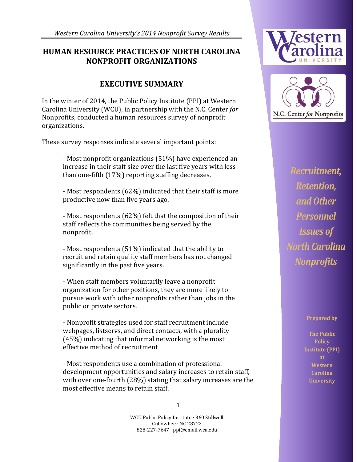*Western Carolina University's 2014 Nonprofit Survey Results*

### **HUMAN RESOURCE PRACTICES OF NORTH CAROLINA NONPROFIT ORGANIZATIONS**

**\_\_\_\_\_\_\_\_\_\_\_\_\_\_\_\_\_\_\_\_\_\_\_\_\_\_\_\_\_\_\_\_\_\_\_\_\_\_\_\_\_\_\_\_\_\_\_\_\_\_\_\_\_\_\_\_\_\_\_\_\_**

## **EXECUTIVE SUMMARY**

In the winter of 2014, the Public Policy Institute (PPI) at Western Carolina University (WCU), in partnership with the N.C. Center *for* Nonprofits, conducted a human resources survey of nonprofit organizations.

These survey responses indicate several important points:

- Most nonprofit organizations (51%) have experienced an increase in their staff size over the last five years with less than one-fifth (17%) reporting staffing decreases.

- Most respondents (62%) indicated that their staff is more productive now than five years ago.

- Most respondents (62%) felt that the composition of their staff reflects the communities being served by the nonprofit.

- Most respondents (51%) indicated that the ability to recruit and retain quality staff members has not changed significantly in the past five years.

- When staff members voluntarily leave a nonprofit organization for other positions, they are more likely to pursue work with other nonprofits rather than jobs in the public or private sectors.

- Nonprofit strategies used for staff recruitment include webpages, listservs, and direct contacts, with a plurality (45%) indicating that informal networking is the most effective method of recruitment

- Most respondents use a combination of professional development opportunities and salary increases to retain staff, with over one-fourth (28%) stating that salary increases are the most effective means to retain staff.





*Recruitment, Retention, and Other Personnel Issues of North Carolina Nonprofits* 

**Prepared by**

**The Public Policy Institute (PPI) at Western Carolina University**

1

WCU Public Policy Institute · 360 Stillwell Cullowhee · NC 28722 828-227-7647 · ppi@email.wcu.edu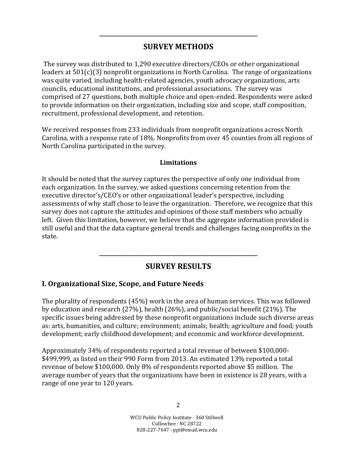## **SURVEY METHODS**

**\_\_\_\_\_\_\_\_\_\_\_\_\_\_\_\_\_\_\_\_\_\_\_\_\_\_\_\_\_\_\_\_\_\_\_\_\_\_\_\_\_\_\_\_\_\_\_\_\_\_\_\_\_\_\_\_\_\_\_\_\_**

The survey was distributed to 1,290 executive directors/CEOs or other organizational leaders at 501(c)(3) nonprofit organizations in North Carolina. The range of organizations was quite varied, including health-related agencies, youth advocacy organizations, arts councils, educational institutions, and professional associations. The survey was comprised of 27 questions, both multiple choice and open-ended. Respondents were asked to provide information on their organization, including size and scope, staff composition, recruitment, professional development, and retention.

We received responses from 233 individuals from nonprofit organizations across North Carolina, with a response rate of 18%. Nonprofits from over 45 counties from all regions of North Carolina participated in the survey.

#### **Limitations**

It should be noted that the survey captures the perspective of only one individual from each organization. In the survey, we asked questions concerning retention from the executive director's/CEO's or other organizational leader's perspective, including assessments of why staff chose to leave the organization. Therefore, we recognize that this survey does not capture the attitudes and opinions of those staff members who actually left. Given this limitation, however, we believe that the aggregate information provided is still useful and that the data capture general trends and challenges facing nonprofits in the state.

#### **SURVEY RESULTS**

**\_\_\_\_\_\_\_\_\_\_\_\_\_\_\_\_\_\_\_\_\_\_\_\_\_\_\_\_\_\_\_\_\_\_\_\_\_\_\_\_\_\_\_\_\_\_\_\_\_\_\_\_\_\_\_\_\_\_\_\_\_**

#### **I. Organizational Size, Scope, and Future Needs**

The plurality of respondents (45%) work in the area of human services. This was followed by education and research (27%), health (26%), and public/social benefit (21%). The specific issues being addressed by these nonprofit organizations include such diverse areas as: arts, humanities, and culture; environment; animals; health; agriculture and food; youth development; early childhood development; and economic and workforce development.

Approximately 34% of respondents reported a total revenue of between \$100,000- \$499,999, as listed on their 990 Form from 2013. An estimated 13% reported a total revenue of below \$100,000. Only 8% of respondents reported above \$5 million. The average number of years that the organizations have been in existence is 28 years, with a range of one year to 120 years.

> WCU Public Policy Institute · 360 Stillwell Cullowhee · NC 28722 828-227-7647 · ppi@email.wcu.edu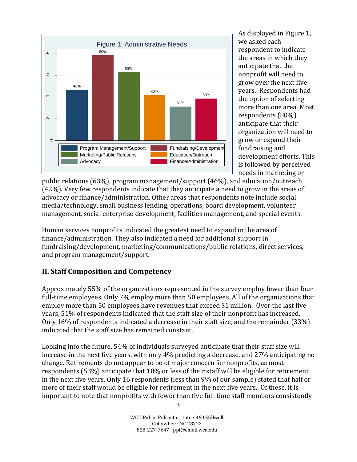

As displayed in Figure 1, we asked each respondent to indicate the areas in which they anticipate that the nonprofit will need to grow over the next five years. Respondents had the option of selecting more than one area. Most respondents (80%) anticipate that their organization will need to grow or expand their fundraising and development efforts. This is followed by perceived needs in marketing or

public relations (63%), program management/support (46%), and education/outreach (42%). Very few respondents indicate that they anticipate a need to grow in the areas of advocacy or finance/administration. Other areas that respondents note include social media/technology, small business lending, operations, board development, volunteer management, social enterprise development, facilities management, and special events.

Human services nonprofits indicated the greatest need to expand in the area of finance/administration. They also indicated a need for additional support in fundraising/development, marketing/communications/public relations, direct services, and program management/support.

#### **II. Staff Composition and Competency**

Approximately 55% of the organizations represented in the survey employ fewer than four full-time employees. Only 7% employ more than 50 employees. All of the organizations that employ more than 50 employees have revenues that exceed \$1 million. Over the last five years, 51% of respondents indicated that the staff size of their nonprofit has increased. Only 16% of respondents indicated a decrease in their staff size, and the remainder (33%) indicated that the staff size has remained constant.

Looking into the future, 54% of individuals surveyed anticipate that their staff size will increase in the next five years, with only 4% predicting a decrease, and 27% anticipating no change. Retirements do not appear to be of major concern for nonprofits, as most respondents (53%) anticipate that 10% or less of their staff will be eligible for retirement in the next five years. Only 16 respondents (less than 9% of our sample) stated that half or more of their staff would be eligible for retirement in the next five years. Of these, it is important to note that nonprofits with fewer than five full-time staff members consistently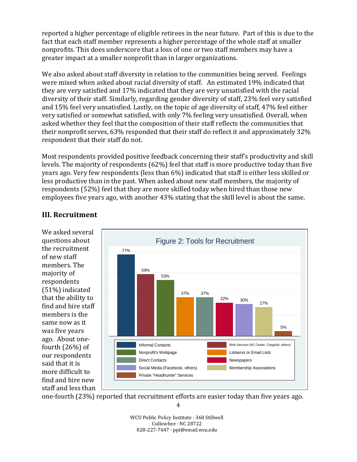reported a higher percentage of eligible retirees in the near future. Part of this is due to the fact that each staff member represents a higher percentage of the whole staff at smaller nonprofits. This does underscore that a loss of one or two staff members may have a greater impact at a smaller nonprofit than in larger organizations.

We also asked about staff diversity in relation to the communities being served. Feelings were mixed when asked about racial diversity of staff. An estimated 19% indicated that they are very satisfied and 17% indicated that they are very unsatisfied with the racial diversity of their staff. Similarly, regarding gender diversity of staff, 23% feel very satisfied and 15% feel very unsatisfied. Lastly, on the topic of age diversity of staff, 47% feel either very satisfied or somewhat satisfied, with only 7% feeling very unsatisfied. Overall, when asked whether they feel that the composition of their staff reflects the communities that their nonprofit serves, 63% responded that their staff do reflect it and approximately 32% respondent that their staff do not.

Most respondents provided positive feedback concerning their staff's productivity and skill levels. The majority of respondents (62%) feel that staff is more productive today than five years ago. Very few respondents (less than 6%) indicated that staff is either less skilled or less productive than in the past. When asked about new staff members, the majority of respondents (52%) feel that they are more skilled today when hired than those new employees five years ago, with another 43% stating that the skill level is about the same.

### **III. Recruitment**

We asked several questions about the recruitment of new staff members. The majority of respondents (51%) indicated that the ability to find and hire staff members is the same now as it was five years ago. About onefourth (26%) of our respondents said that it is more difficult to find and hire new staff and less than



one-fourth (23%) reported that recruitment efforts are easier today than five years ago.

WCU Public Policy Institute · 360 Stillwell Cullowhee · NC 28722 828-227-7647 · ppi@email.wcu.edu

<sup>4</sup>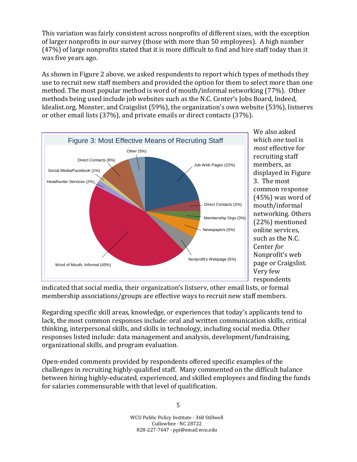This variation was fairly consistent across nonprofits of different sizes, with the exception of larger nonprofits in our survey (those with more than 50 employees). A high number (47%) of large nonprofits stated that it is more difficult to find and hire staff today than it was five years ago.

As shown in Figure 2 above, we asked respondents to report which types of methods they use to recruit new staff members and provided the option for them to select more than one method. The most popular method is word of mouth/informal networking (77%). Other methods being used include job websites such as the N.C. Center's Jobs Board, Indeed, Idealist.org, Monster, and Craigslist (59%), the organization's own website (53%), listservs or other email lists (37%), and private emails or direct contacts (37%).



We also asked which *one* tool is *most* effective for recruiting staff members, as displayed in Figure 3. The most common response (45%) was word of mouth/informal networking. Others (22%) mentioned online services, such as the N.C. Center *for* Nonprofit's web page or Craigslist. Very few respondents

indicated that social media, their organization's listserv, other email lists, or formal membership associations/groups are effective ways to recruit new staff members.

Regarding specific skill areas, knowledge, or experiences that today's applicants tend to lack, the most common responses include: oral and written communication skills, critical thinking, interpersonal skills, and skills in technology, including social media. Other responses listed include: data management and analysis, development/fundraising, organizational skills, and program evaluation.

Open-ended comments provided by respondents offered specific examples of the challenges in recruiting highly-qualified staff. Many commented on the difficult balance between hiring highly-educated, experienced, and skilled employees and finding the funds for salaries commensurable with that level of qualification.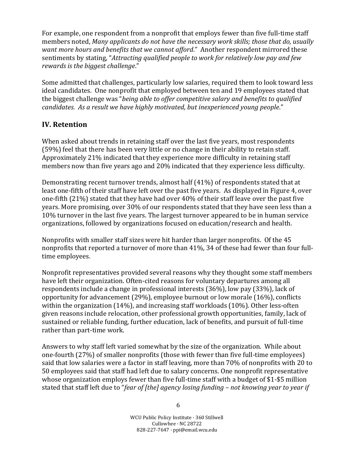For example, one respondent from a nonprofit that employs fewer than five full-time staff members noted, *Many applicants do not have the necessary work skills; those that do, usually want more hours and benefits that we cannot afford*." Another respondent mirrored these sentiments by stating, "*Attracting qualified people to work for relatively low pay and few rewards is the biggest challenge*."

Some admitted that challenges, particularly low salaries, required them to look toward less ideal candidates. One nonprofit that employed between ten and 19 employees stated that the biggest challenge was "*being able to offer competitive salary and benefits to qualified candidates. As a result we have highly motivated, but inexperienced young people*."

### **IV. Retention**

When asked about trends in retaining staff over the last five years, most respondents (59%) feel that there has been very little or no change in their ability to retain staff. Approximately 21% indicated that they experience more difficulty in retaining staff members now than five years ago and 20% indicated that they experience less difficulty.

Demonstrating recent turnover trends, almost half (41%) of respondents stated that at least one-fifth of their staff have left over the past five years. As displayed in Figure 4, over one-fifth (21%) stated that they have had over 40% of their staff leave over the past five years. More promising, over 30% of our respondents stated that they have seen less than a 10% turnover in the last five years. The largest turnover appeared to be in human service organizations, followed by organizations focused on education/research and health.

Nonprofits with smaller staff sizes were hit harder than larger nonprofits. Of the 45 nonprofits that reported a turnover of more than 41%, 34 of these had fewer than four fulltime employees.

Nonprofit representatives provided several reasons why they thought some staff members have left their organization. Often-cited reasons for voluntary departures among all respondents include a change in professional interests (36%), low pay (33%), lack of opportunity for advancement (29%), employee burnout or low morale (16%), conflicts within the organization (14%), and increasing staff workloads (10%). Other less-often given reasons include relocation, other professional growth opportunities, family, lack of sustained or reliable funding, further education, lack of benefits, and pursuit of full-time rather than part-time work.

Answers to why staff left varied somewhat by the size of the organization. While about one-fourth (27%) of smaller nonprofits (those with fewer than five full-time employees) said that low salaries were a factor in staff leaving, more than 70% of nonprofits with 20 to 50 employees said that staff had left due to salary concerns. One nonprofit representative whose organization employs fewer than five full-time staff with a budget of \$1-\$5 million stated that staff left due to "*fear of [the] agency losing funding – not knowing year to year if*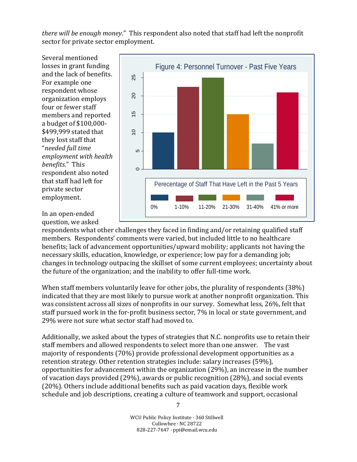*there will be enough money*." This respondent also noted that staff had left the nonprofit sector for private sector employment.

Several mentioned losses in grant funding and the lack of benefits. For example one respondent whose organization employs four or fewer staff members and reported a budget of \$100,000- \$499,999 stated that they lost staff that "*needed full time employment with health benefits*." This respondent also noted that staff had left for private sector employment.



In an open-ended question, we asked

respondents what other challenges they faced in finding and/or retaining qualified staff members. Respondents' comments were varied, but included little to no healthcare benefits; lack of advancement opportunities/upward mobility; applicants not having the necessary skills, education, knowledge, or experience; low pay for a demanding job; changes in technology outpacing the skillset of some current employees; uncertainty about the future of the organization; and the inability to offer full-time work.

When staff members voluntarily leave for other jobs, the plurality of respondents (38%) indicated that they are most likely to pursue work at another nonprofit organization. This was consistent across all sizes of nonprofits in our survey. Somewhat less, 26%, felt that staff pursued work in the for-profit business sector, 7% in local or state government, and 29% were not sure what sector staff had moved to.

Additionally, we asked about the types of strategies that N.C. nonprofits use to retain their staff members and allowed respondents to select more than one answer. The vast majority of respondents (70%) provide professional development opportunities as a retention strategy. Other retention strategies include: salary increases (59%), opportunities for advancement within the organization (29%), an increase in the number of vacation days provided (29%), awards or public recognition (28%), and social events (20%). Others include additional benefits such as paid vacation days, flexible work schedule and job descriptions, creating a culture of teamwork and support, occasional

> WCU Public Policy Institute · 360 Stillwell Cullowhee · NC 28722 828-227-7647 · ppi@email.wcu.edu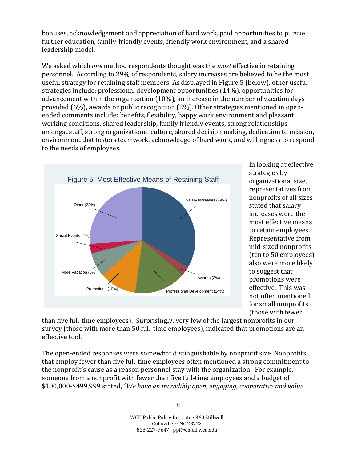bonuses, acknowledgement and appreciation of hard work, paid opportunities to pursue further education, family-friendly events, friendly work environment, and a shared leadership model.

We asked which *one* method respondents thought was the *most* effective in retaining personnel. According to 29% of respondents, salary increases are believed to be the most useful strategy for retaining staff members. As displayed in Figure 5 (below), other useful strategies include: professional development opportunities (14%), opportunities for advancement within the organization (10%), an increase in the number of vacation days provided (6%), awards or public recognition (2%). Other strategies mentioned in openended comments include: benefits, flexibility, happy work environment and pleasant working conditions, shared leadership, family friendly events, strong relationships amongst staff, strong organizational culture, shared decision making, dedication to mission, environment that fosters teamwork, acknowledge of hard work, and willingness to respond to the needs of employees.



In looking at effective strategies by organizational size, representatives from nonprofits of all sizes stated that salary increases were the most effective means to retain employees. Representative from mid-sized nonprofits (ten to 50 employees) also were more likely to suggest that promotions were effective. This was not often mentioned for small nonprofits (those with fewer

than five full-time employees). Surprisingly, very few of the largest nonprofits in our survey (those with more than 50 full-time employees), indicated that promotions are an effective tool.

The open-ended responses were somewhat distinguishable by nonprofit size. Nonprofits that employ fewer than five full-time employees often mentioned a strong commitment to the nonprofit's cause as a reason personnel stay with the organization. For example, someone from a nonprofit with fewer than five full-time employees and a budget of \$100,000-\$499,999 stated, *"We have an incredibly open, engaging, cooperative and value*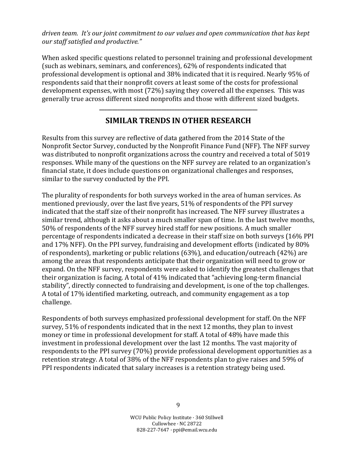*driven team. It's our joint commitment to our values and open communication that has kept our staff satisfied and productive."*

When asked specific questions related to personnel training and professional development (such as webinars, seminars, and conferences), 62% of respondents indicated that professional development is optional and 38% indicated that it is required. Nearly 95% of respondents said that their nonprofit covers at least some of the costs for professional development expenses, with most (72%) saying they covered all the expenses. This was generally true across different sized nonprofits and those with different sized budgets.

## **SIMILAR TRENDS IN OTHER RESEARCH**

**\_\_\_\_\_\_\_\_\_\_\_\_\_\_\_\_\_\_\_\_\_\_\_\_\_\_\_\_\_\_\_\_\_\_\_\_\_\_\_\_\_\_\_\_\_\_\_\_\_\_\_\_\_\_\_\_\_\_\_\_\_**

Results from this survey are reflective of data gathered from the 2014 State of the Nonprofit Sector Survey, conducted by the Nonprofit Finance Fund (NFF). The NFF survey was distributed to nonprofit organizations across the country and received a total of 5019 responses. While many of the questions on the NFF survey are related to an organization's financial state, it does include questions on organizational challenges and responses, similar to the survey conducted by the PPI.

The plurality of respondents for both surveys worked in the area of human services. As mentioned previously, over the last five years, 51% of respondents of the PPI survey indicated that the staff size of their nonprofit has increased. The NFF survey illustrates a similar trend, although it asks about a much smaller span of time. In the last twelve months, 50% of respondents of the NFF survey hired staff for new positions. A much smaller percentage of respondents indicated a decrease in their staff size on both surveys (16% PPI and 17% NFF). On the PPI survey, fundraising and development efforts (indicated by 80% of respondents), marketing or public relations (63%), and education/outreach (42%) are among the areas that respondents anticipate that their organization will need to grow or expand. On the NFF survey, respondents were asked to identify the greatest challenges that their organization is facing. A total of 41% indicated that "achieving long-term financial stability", directly connected to fundraising and development, is one of the top challenges. A total of 17% identified marketing, outreach, and community engagement as a top challenge.

Respondents of both surveys emphasized professional development for staff. On the NFF survey, 51% of respondents indicated that in the next 12 months, they plan to invest money or time in professional development for staff. A total of 48% have made this investment in professional development over the last 12 months. The vast majority of respondents to the PPI survey (70%) provide professional development opportunities as a retention strategy. A total of 38% of the NFF respondents plan to give raises and 59% of PPI respondents indicated that salary increases is a retention strategy being used.